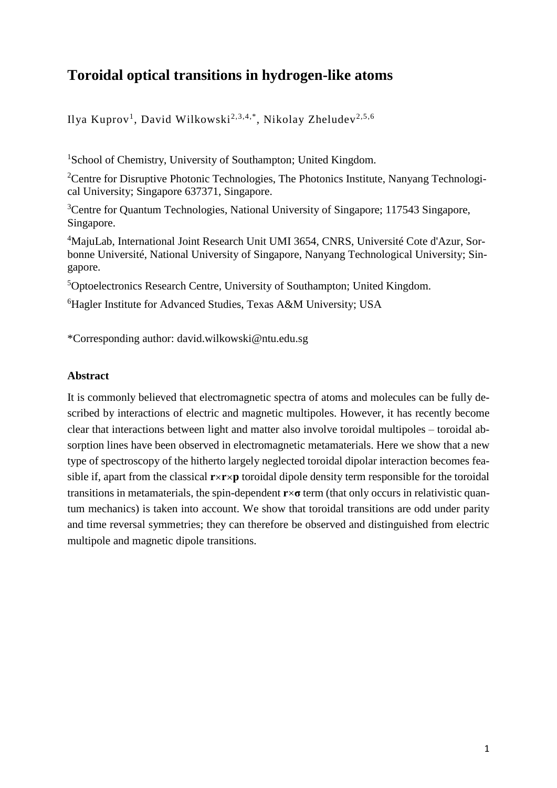# **Toroidal optical transitions in hydrogen-like atoms**

Ilya Kuprov<sup>1</sup>, David Wilkowski<sup>2,3,4,\*</sup>, Nikolay Zheludev<sup>2,5,6</sup>

<sup>1</sup>School of Chemistry, University of Southampton; United Kingdom.

<sup>2</sup>Centre for Disruptive Photonic Technologies, The Photonics Institute, Nanyang Technological University; Singapore 637371, Singapore.

<sup>3</sup>Centre for Quantum Technologies, National University of Singapore; 117543 Singapore, Singapore.

<sup>4</sup>MajuLab, International Joint Research Unit UMI 3654, CNRS, Université Cote d'Azur, Sorbonne Université, National University of Singapore, Nanyang Technological University; Singapore.

<sup>5</sup>Optoelectronics Research Centre, University of Southampton; United Kingdom.

<sup>6</sup>Hagler Institute for Advanced Studies, Texas A&M University; USA

\*Corresponding author: david.wilkowski@ntu.edu.sg

## **Abstract**

It is commonly believed that electromagnetic spectra of atoms and molecules can be fully described by interactions of electric and magnetic multipoles. However, it has recently become clear that interactions between light and matter also involve toroidal multipoles – toroidal absorption lines have been observed in electromagnetic metamaterials. Here we show that a new type of spectroscopy of the hitherto largely neglected toroidal dipolar interaction becomes feasible if, apart from the classical  $\mathbf{r} \times \mathbf{r} \times \mathbf{p}$  toroidal dipole density term responsible for the toroidal transitions in metamaterials, the spin-dependent  $\mathbf{r} \times \mathbf{\sigma}$  term (that only occurs in relativistic quantum mechanics) is taken into account. We show that toroidal transitions are odd under parity and time reversal symmetries; they can therefore be observed and distinguished from electric multipole and magnetic dipole transitions.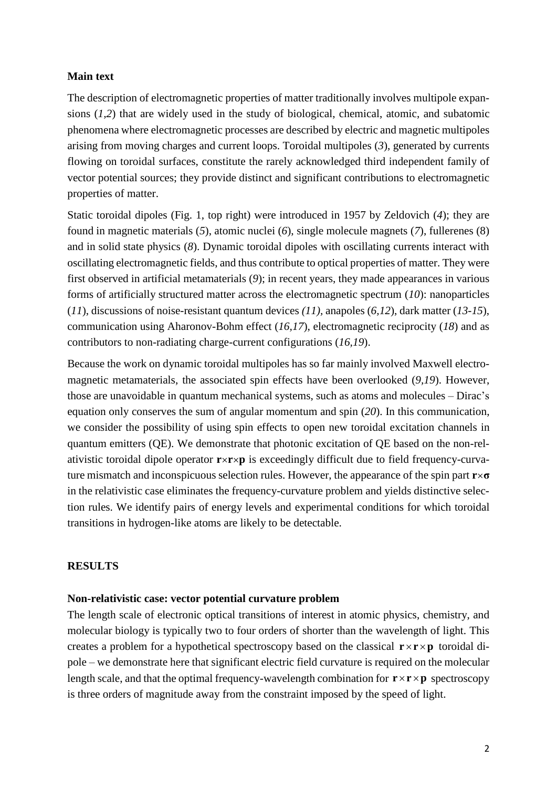## **Main text**

The description of electromagnetic properties of matter traditionally involves multipole expansions (*1,2*) that are widely used in the study of biological, chemical, atomic, and subatomic phenomena where electromagnetic processes are described by electric and magnetic multipoles arising from moving charges and current loops. Toroidal multipoles (*3*), generated by currents flowing on toroidal surfaces, constitute the rarely acknowledged third independent family of vector potential sources; they provide distinct and significant contributions to electromagnetic properties of matter.

Static toroidal dipoles (Fig. 1, top right) were introduced in 1957 by Zeldovich (*4*); they are found in magnetic materials (*5*), atomic nuclei (*6*), single molecule magnets (*7*), fullerenes (8) and in solid state physics (*8*). Dynamic toroidal dipoles with oscillating currents interact with oscillating electromagnetic fields, and thus contribute to optical properties of matter. They were first observed in artificial metamaterials (*9*); in recent years, they made appearances in various forms of artificially structured matter across the electromagnetic spectrum (*10*): nanoparticles (*11*), discussions of noise-resistant quantum devices *(11),* anapoles (*6,12*), dark matter (*13-15*), communication using Aharonov-Bohm effect (*16,17*), electromagnetic reciprocity (*18*) and as contributors to non-radiating charge-current configurations (*16,19*).

Because the work on dynamic toroidal multipoles has so far mainly involved Maxwell electromagnetic metamaterials, the associated spin effects have been overlooked (*9,19*). However, those are unavoidable in quantum mechanical systems, such as atoms and molecules – Dirac's equation only conserves the sum of angular momentum and spin (*20*). In this communication, we consider the possibility of using spin effects to open new toroidal excitation channels in quantum emitters (QE). We demonstrate that photonic excitation of QE based on the non-relativistic toroidal dipole operator **r**×**r**×**p** is exceedingly difficult due to field frequency-curvature mismatch and inconspicuous selection rules. However, the appearance of the spin part **r**×**σ** in the relativistic case eliminates the frequency-curvature problem and yields distinctive selection rules. We identify pairs of energy levels and experimental conditions for which toroidal transitions in hydrogen-like atoms are likely to be detectable.

### **RESULTS**

## **Non-relativistic case: vector potential curvature problem**

The length scale of electronic optical transitions of interest in atomic physics, chemistry, and molecular biology is typically two to four orders of shorter than the wavelength of light. This creates a problem for a hypothetical spectroscopy based on the classical  $\mathbf{r} \times \mathbf{r} \times \mathbf{p}$  toroidal dipole – we demonstrate here that significant electric field curvature is required on the molecular length scale, and that the optimal frequency-wavelength combination for  $\mathbf{r} \times \mathbf{r} \times \mathbf{p}$  spectroscopy is three orders of magnitude away from the constraint imposed by the speed of light.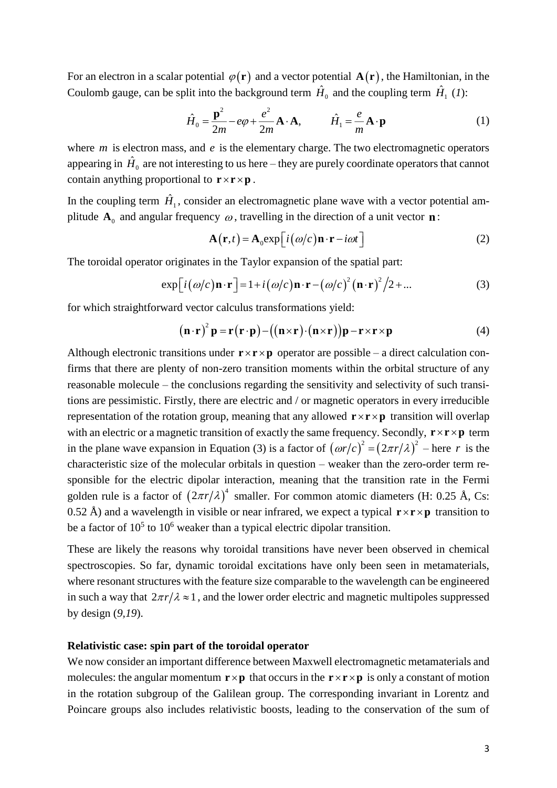For an electron in a scalar potential  $\varphi(\mathbf{r})$  and a vector potential  $\mathbf{A}(\mathbf{r})$ , the Hamiltonian, in the Coulomb gauge, can be split into the background term  $\hat{H}_0$  and the coupling term  $\hat{H}_1$  (1):

$$
\hat{H}_0 = \frac{\mathbf{p}^2}{2m} - e\varphi + \frac{e^2}{2m} \mathbf{A} \cdot \mathbf{A}, \qquad \hat{H}_1 = \frac{e}{m} \mathbf{A} \cdot \mathbf{p}
$$
(1)

where  $m$  is electron mass, and  $e$  is the elementary charge. The two electromagnetic operators appearing in  $\hat{H}_0$  are not interesting to us here – they are purely coordinate operators that cannot contain anything proportional to  $\mathbf{r} \times \mathbf{r} \times \mathbf{p}$ .

In the coupling term  $\hat{H}_1$ , consider an electromagnetic plane wave with a vector potential amplitude  $A_0$  and angular frequency  $\omega$ , travelling in the direction of a unit vector **n**:

$$
\mathbf{A}(\mathbf{r},t) = \mathbf{A}_0 \exp\left[i\left(\omega/c\right)\mathbf{n}\cdot\mathbf{r} - i\omega t\right]
$$
 (2)

The toroidal operator originates in the Taylor expansion of the spatial part:

$$
\exp[i(\omega/c)\mathbf{n}\cdot\mathbf{r}] = 1 + i(\omega/c)\mathbf{n}\cdot\mathbf{r} - (\omega/c)^2(\mathbf{n}\cdot\mathbf{r})^2/2 + ... \tag{3}
$$

for which straightforward vector calculus transformations yield:

$$
(\mathbf{n} \cdot \mathbf{r})^2 \mathbf{p} = \mathbf{r}(\mathbf{r} \cdot \mathbf{p}) - ((\mathbf{n} \times \mathbf{r}) \cdot (\mathbf{n} \times \mathbf{r})) \mathbf{p} - \mathbf{r} \times \mathbf{r} \times \mathbf{p}
$$
 (4)

Although electronic transitions under  $\mathbf{r} \times \mathbf{r} \times \mathbf{p}$  operator are possible – a direct calculation confirms that there are plenty of non-zero transition moments within the orbital structure of any reasonable molecule – the conclusions regarding the sensitivity and selectivity of such transitions are pessimistic. Firstly, there are electric and / or magnetic operators in every irreducible representation of the rotation group, meaning that any allowed  $\mathbf{r} \times \mathbf{r} \times \mathbf{p}$  transition will overlap with an electric or a magnetic transition of exactly the same frequency. Secondly,  $\mathbf{r} \times \mathbf{r} \times \mathbf{p}$  term in the plane wave expansion in Equation (3) is a factor of  $(\omega r/c)^2 = (2\pi r/\lambda)^2$  – here r is the characteristic size of the molecular orbitals in question – weaker than the zero-order term responsible for the electric dipolar interaction, meaning that the transition rate in the Fermi golden rule is a factor of  $(2\pi r/\lambda)^4$  smaller. For common atomic diameters (H: 0.25 Å, Cs: 0.52 Å) and a wavelength in visible or near infrared, we expect a typical  $\mathbf{r} \times \mathbf{r} \times \mathbf{p}$  transition to be a factor of  $10<sup>5</sup>$  to  $10<sup>6</sup>$  weaker than a typical electric dipolar transition.

These are likely the reasons why toroidal transitions have never been observed in chemical spectroscopies. So far, dynamic toroidal excitations have only been seen in metamaterials, where resonant structures with the feature size comparable to the wavelength can be engineered in such a way that  $2\pi r/\lambda \approx 1$ , and the lower order electric and magnetic multipoles suppressed by design (*9,19*).

## **Relativistic case: spin part of the toroidal operator**

We now consider an important difference between Maxwell electromagnetic metamaterials and molecules: the angular momentum  $\mathbf{r} \times \mathbf{p}$  that occurs in the  $\mathbf{r} \times \mathbf{r} \times \mathbf{p}$  is only a constant of motion in the rotation subgroup of the Galilean group. The corresponding invariant in Lorentz and Poincare groups also includes relativistic boosts, leading to the conservation of the sum of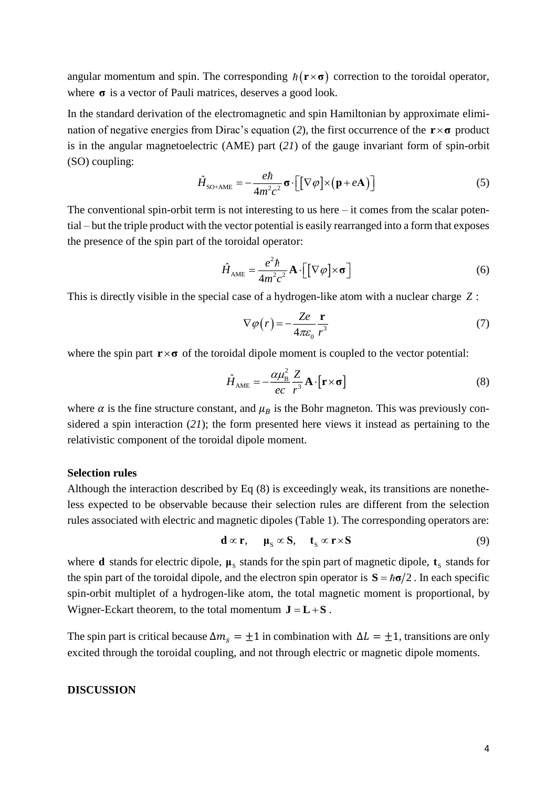angular momentum and spin. The corresponding  $\hbar$  ( $\mathbf{r} \times \boldsymbol{\sigma}$ ) correction to the toroidal operator, where **σ** is a vector of Pauli matrices, deserves a good look.

In the standard derivation of the electromagnetic and spin Hamiltonian by approximate elimination of negative energies from Dirac's equation (*2*), the first occurrence of the **rσ** product is in the angular magnetoelectric (AME) part (*21*) of the gauge invariant form of spin-orbit (SO) coupling:

$$
\hat{H}_{\text{SO+AME}} = -\frac{e\hbar}{4m^2c^2}\boldsymbol{\sigma} \cdot \left[ \left[ \nabla \varphi \right] \times \left( \mathbf{p} + e\mathbf{A} \right) \right] \tag{5}
$$

The conventional spin-orbit term is not interesting to us here – it comes from the scalar potential – but the triple product with the vector potential is easily rearranged into a form that exposes the presence of the spin part of the toroidal operator:

$$
\hat{H}_{\text{AME}} = \frac{e^2 \hbar}{4m^2 c^2} \mathbf{A} \cdot \left[ \left[ \nabla \varphi \right] \times \mathbf{\sigma} \right] \tag{6}
$$

This is directly visible in the special case of a hydrogen-like atom with a nuclear charge *Z* :

$$
\nabla \varphi(r) = -\frac{Ze}{4\pi\varepsilon_0} \frac{\mathbf{r}}{r^3} \tag{7}
$$

where the spin part  $\mathbf{r} \times \boldsymbol{\sigma}$  of the toroidal dipole moment is coupled to the vector potential:

$$
\hat{H}_{\text{AME}} = -\frac{\alpha \mu_{\text{B}}^2}{ec} \frac{Z}{r^3} \mathbf{A} \cdot [\mathbf{r} \times \mathbf{\sigma}] \tag{8}
$$

where  $\alpha$  is the fine structure constant, and  $\mu_B$  is the Bohr magneton. This was previously considered a spin interaction (*21*); the form presented here views it instead as pertaining to the relativistic component of the toroidal dipole moment.

## **Selection rules**

Although the interaction described by Eq (8) is exceedingly weak, its transitions are nonetheless expected to be observable because their selection rules are different from the selection rules associated with electric and magnetic dipoles (Table 1). The corresponding operators are:

$$
\mathbf{d} \propto \mathbf{r}, \quad \mathbf{\mu}_{\rm s} \propto \mathbf{S}, \quad \mathbf{t}_{\rm s} \propto \mathbf{r} \times \mathbf{S} \tag{9}
$$

where **d** stands for electric dipole,  $\mu_s$  stands for the spin part of magnetic dipole,  $t_s$  stands for the spin part of the toroidal dipole, and the electron spin operator is  $S = \hbar \sigma/2$ . In each specific spin-orbit multiplet of a hydrogen-like atom, the total magnetic moment is proportional, by Wigner-Eckart theorem, to the total momentum  $J = L + S$ .

The spin part is critical because  $\Delta m_s = \pm 1$  in combination with  $\Delta L = \pm 1$ , transitions are only excited through the toroidal coupling, and not through electric or magnetic dipole moments.

### **DISCUSSION**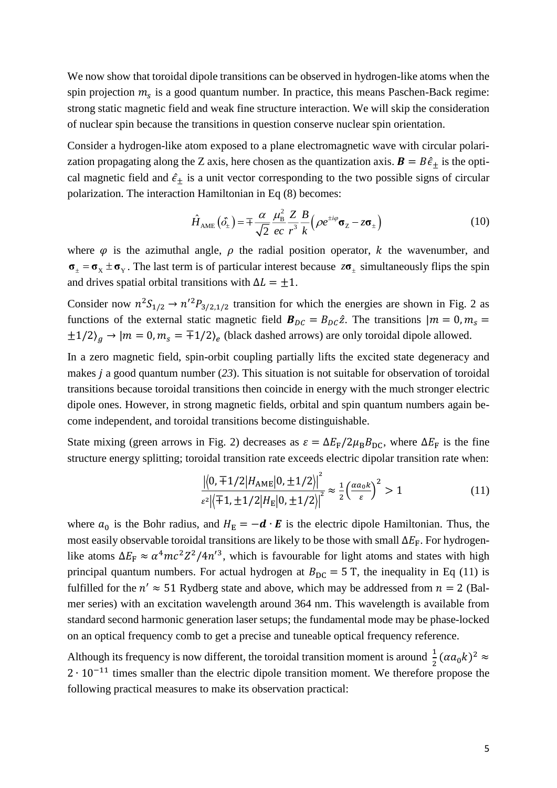We now show that toroidal dipole transitions can be observed in hydrogen-like atoms when the spin projection  $m_s$  is a good quantum number. In practice, this means Paschen-Back regime: strong static magnetic field and weak fine structure interaction. We will skip the consideration of nuclear spin because the transitions in question conserve nuclear spin orientation.

Consider a hydrogen-like atom exposed to a plane electromagnetic wave with circular polarization propagating along the Z axis, here chosen as the quantization axis.  $\mathbf{B} = B\hat{\epsilon}_+$  is the optical magnetic field and  $\hat{\epsilon}_\pm$  is a unit vector corresponding to the two possible signs of circular polarization. The interaction Hamiltonian in Eq (8) becomes:

$$
\hat{H}_{\text{AME}}\left(\hat{\sigma}_{\pm}\right) = \mp \frac{\alpha}{\sqrt{2}} \frac{\mu_{\text{B}}^2}{ec} \frac{Z}{r^3} \frac{B}{k} \left(\rho e^{\pm i\varphi} \sigma_z - z \sigma_{\pm}\right) \tag{10}
$$

where  $\varphi$  is the azimuthal angle,  $\rho$  the radial position operator, k the wavenumber, and  $\sigma_{+} = \sigma_{x} \pm \sigma_{y}$ . The last term is of particular interest because  $z\sigma_{+}$  simultaneously flips the spin and drives spatial orbital transitions with  $\Delta L = \pm 1$ .

Consider now  $n^2S_{1/2} \rightarrow n'^2P_{3/2,1/2}$  transition for which the energies are shown in Fig. 2 as functions of the external static magnetic field  $B_{DC} = B_{DC} \hat{z}$ . The transitions  $|m = 0, m_s =$  $\pm 1/2$ )<sub>g</sub>  $\rightarrow$   $|m = 0, m_s = \pm 1/2$ )<sub>e</sub> (black dashed arrows) are only toroidal dipole allowed.

In a zero magnetic field, spin-orbit coupling partially lifts the excited state degeneracy and makes  $\dot{i}$  a good quantum number (23). This situation is not suitable for observation of toroidal transitions because toroidal transitions then coincide in energy with the much stronger electric dipole ones. However, in strong magnetic fields, orbital and spin quantum numbers again become independent, and toroidal transitions become distinguishable.

State mixing (green arrows in Fig. 2) decreases as  $\varepsilon = \Delta E_F/2\mu_B B_{DC}$ , where  $\Delta E_F$  is the fine structure energy splitting; toroidal transition rate exceeds electric dipolar transition rate when:

$$
\frac{|\langle 0, \pm 1/2 | H_{\text{AME}} | 0, \pm 1/2 \rangle|^2}{\varepsilon^2 |\langle \mp 1, \pm 1/2 | H_{\text{E}} | 0, \pm 1/2 \rangle|^2} \approx \frac{1}{2} \left( \frac{\alpha a_0 k}{\varepsilon} \right)^2 > 1
$$
\n(11)

where  $a_0$  is the Bohr radius, and  $H_E = -d \cdot E$  is the electric dipole Hamiltonian. Thus, the most easily observable toroidal transitions are likely to be those with small  $\Delta E_F$ . For hydrogenlike atoms  $\Delta E_{\rm F} \approx \alpha^4 mc^2 Z^2 / 4n^2$ , which is favourable for light atoms and states with high principal quantum numbers. For actual hydrogen at  $B_{DC} = 5$  T, the inequality in Eq (11) is fulfilled for the  $n' \approx 51$  Rydberg state and above, which may be addressed from  $n = 2$  (Balmer series) with an excitation wavelength around 364 nm. This wavelength is available from standard second harmonic generation laser setups; the fundamental mode may be phase-locked on an optical frequency comb to get a precise and tuneable optical frequency reference.

Although its frequency is now different, the toroidal transition moment is around  $\frac{1}{2}(\alpha a_0 k)^2 \approx$ 2 ⋅ 10<sup>-11</sup> times smaller than the electric dipole transition moment. We therefore propose the following practical measures to make its observation practical: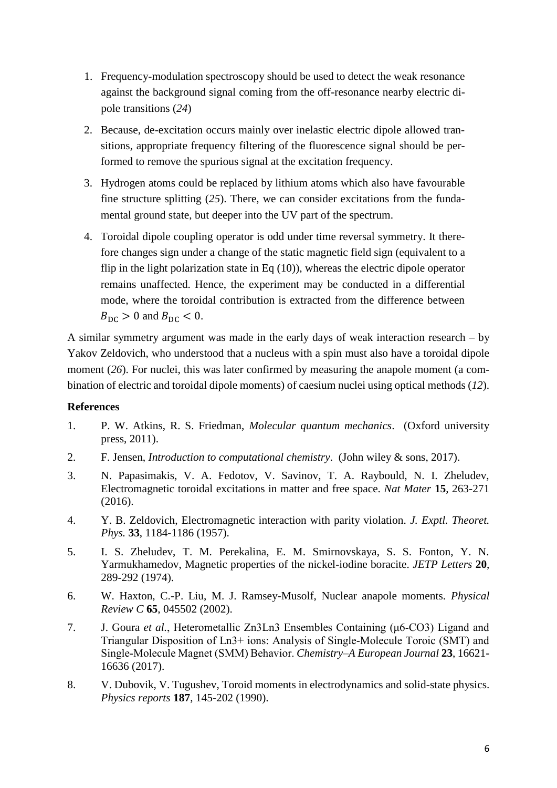- 1. Frequency-modulation spectroscopy should be used to detect the weak resonance against the background signal coming from the off-resonance nearby electric dipole transitions (*24*)
- 2. Because, de-excitation occurs mainly over inelastic electric dipole allowed transitions, appropriate frequency filtering of the fluorescence signal should be performed to remove the spurious signal at the excitation frequency.
- 3. Hydrogen atoms could be replaced by lithium atoms which also have favourable fine structure splitting (*25*). There, we can consider excitations from the fundamental ground state, but deeper into the UV part of the spectrum.
- 4. Toroidal dipole coupling operator is odd under time reversal symmetry. It therefore changes sign under a change of the static magnetic field sign (equivalent to a flip in the light polarization state in Eq  $(10)$ ), whereas the electric dipole operator remains unaffected. Hence, the experiment may be conducted in a differential mode, where the toroidal contribution is extracted from the difference between  $B_{\rm DC}$  > 0 and  $B_{\rm DC}$  < 0.

A similar symmetry argument was made in the early days of weak interaction research – by Yakov Zeldovich, who understood that a nucleus with a spin must also have a toroidal dipole moment (26). For nuclei, this was later confirmed by measuring the anapole moment (a combination of electric and toroidal dipole moments) of caesium nuclei using optical methods (*12*).

# **References**

- 1. P. W. Atkins, R. S. Friedman, *Molecular quantum mechanics*. (Oxford university press, 2011).
- 2. F. Jensen, *Introduction to computational chemistry*. (John wiley & sons, 2017).
- 3. N. Papasimakis, V. A. Fedotov, V. Savinov, T. A. Raybould, N. I. Zheludev, Electromagnetic toroidal excitations in matter and free space. *Nat Mater* **15**, 263-271 (2016).
- 4. Y. B. Zeldovich, Electromagnetic interaction with parity violation. *J. Exptl. Theoret. Phys.* **33**, 1184-1186 (1957).
- 5. I. S. Zheludev, T. M. Perekalina, E. M. Smirnovskaya, S. S. Fonton, Y. N. Yarmukhamedov, Magnetic properties of the nickel-iodine boracite. *JETP Letters* **20**, 289-292 (1974).
- 6. W. Haxton, C.-P. Liu, M. J. Ramsey-Musolf, Nuclear anapole moments. *Physical Review C* **65**, 045502 (2002).
- 7. J. Goura *et al.*, Heterometallic Zn3Ln3 Ensembles Containing (μ6‐CO3) Ligand and Triangular Disposition of Ln3+ ions: Analysis of Single‐Molecule Toroic (SMT) and Single‐Molecule Magnet (SMM) Behavior. *Chemistry–A European Journal* **23**, 16621- 16636 (2017).
- 8. V. Dubovik, V. Tugushev, Toroid moments in electrodynamics and solid-state physics. *Physics reports* **187**, 145-202 (1990).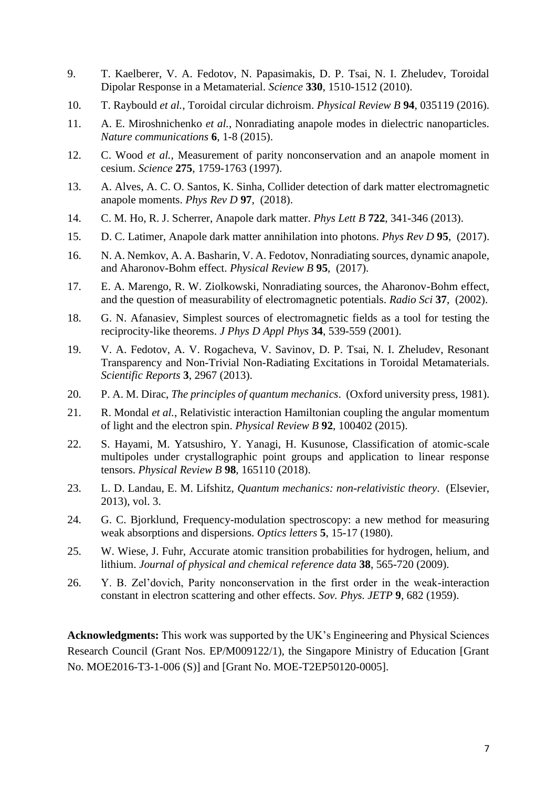- 9. T. Kaelberer, V. A. Fedotov, N. Papasimakis, D. P. Tsai, N. I. Zheludev, Toroidal Dipolar Response in a Metamaterial. *Science* **330**, 1510-1512 (2010).
- 10. T. Raybould *et al.*, Toroidal circular dichroism. *Physical Review B* **94**, 035119 (2016).
- 11. A. E. Miroshnichenko *et al.*, Nonradiating anapole modes in dielectric nanoparticles. *Nature communications* **6**, 1-8 (2015).
- 12. C. Wood *et al.*, Measurement of parity nonconservation and an anapole moment in cesium. *Science* **275**, 1759-1763 (1997).
- 13. A. Alves, A. C. O. Santos, K. Sinha, Collider detection of dark matter electromagnetic anapole moments. *Phys Rev D* **97**, (2018).
- 14. C. M. Ho, R. J. Scherrer, Anapole dark matter. *Phys Lett B* **722**, 341-346 (2013).
- 15. D. C. Latimer, Anapole dark matter annihilation into photons. *Phys Rev D* **95**, (2017).
- 16. N. A. Nemkov, A. A. Basharin, V. A. Fedotov, Nonradiating sources, dynamic anapole, and Aharonov-Bohm effect. *Physical Review B* **95**, (2017).
- 17. E. A. Marengo, R. W. Ziolkowski, Nonradiating sources, the Aharonov-Bohm effect, and the question of measurability of electromagnetic potentials. *Radio Sci* **37**, (2002).
- 18. G. N. Afanasiev, Simplest sources of electromagnetic fields as a tool for testing the reciprocity-like theorems. *J Phys D Appl Phys* **34**, 539-559 (2001).
- 19. V. A. Fedotov, A. V. Rogacheva, V. Savinov, D. P. Tsai, N. I. Zheludev, Resonant Transparency and Non-Trivial Non-Radiating Excitations in Toroidal Metamaterials. *Scientific Reports* **3**, 2967 (2013).
- 20. P. A. M. Dirac, *The principles of quantum mechanics*. (Oxford university press, 1981).
- 21. R. Mondal *et al.*, Relativistic interaction Hamiltonian coupling the angular momentum of light and the electron spin. *Physical Review B* **92**, 100402 (2015).
- 22. S. Hayami, M. Yatsushiro, Y. Yanagi, H. Kusunose, Classification of atomic-scale multipoles under crystallographic point groups and application to linear response tensors. *Physical Review B* **98**, 165110 (2018).
- 23. L. D. Landau, E. M. Lifshitz, *Quantum mechanics: non-relativistic theory*. (Elsevier, 2013), vol. 3.
- 24. G. C. Bjorklund, Frequency-modulation spectroscopy: a new method for measuring weak absorptions and dispersions. *Optics letters* **5**, 15-17 (1980).
- 25. W. Wiese, J. Fuhr, Accurate atomic transition probabilities for hydrogen, helium, and lithium. *Journal of physical and chemical reference data* **38**, 565-720 (2009).
- 26. Y. B. Zel'dovich, Parity nonconservation in the first order in the weak-interaction constant in electron scattering and other effects. *Sov. Phys. JETP* **9**, 682 (1959).

**Acknowledgments:** This work was supported by the UK's Engineering and Physical Sciences Research Council (Grant Nos. EP/M009122/1), the Singapore Ministry of Education [Grant No. MOE2016-T3-1-006 (S)] and [Grant No. MOE-T2EP50120-0005].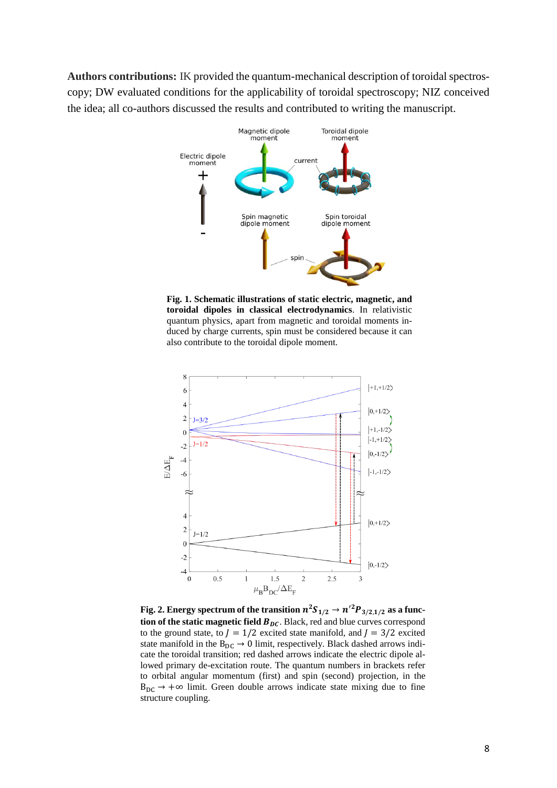**Authors contributions:** IK provided the quantum-mechanical description of toroidal spectroscopy; DW evaluated conditions for the applicability of toroidal spectroscopy; NIZ conceived the idea; all co-authors discussed the results and contributed to writing the manuscript.



**Fig. 1. Schematic illustrations of static electric, magnetic, and toroidal dipoles in classical electrodynamics**. In relativistic quantum physics, apart from magnetic and toroidal moments induced by charge currents, spin must be considered because it can also contribute to the toroidal dipole moment.



Fig. 2. Energy spectrum of the transition  $n^2S_{1/2} \rightarrow n'^2P_{3/2,1/2}$  as a func**tion of the static magnetic field**  $B_{DC}$ **.** Black, red and blue curves correspond to the ground state, to  $I = 1/2$  excited state manifold, and  $I = 3/2$  excited state manifold in the  $B_{DC} \rightarrow 0$  limit, respectively. Black dashed arrows indicate the toroidal transition; red dashed arrows indicate the electric dipole allowed primary de-excitation route. The quantum numbers in brackets refer to orbital angular momentum (first) and spin (second) projection, in the  $B_{\text{DC}} \rightarrow +\infty$  limit. Green double arrows indicate state mixing due to fine structure coupling.